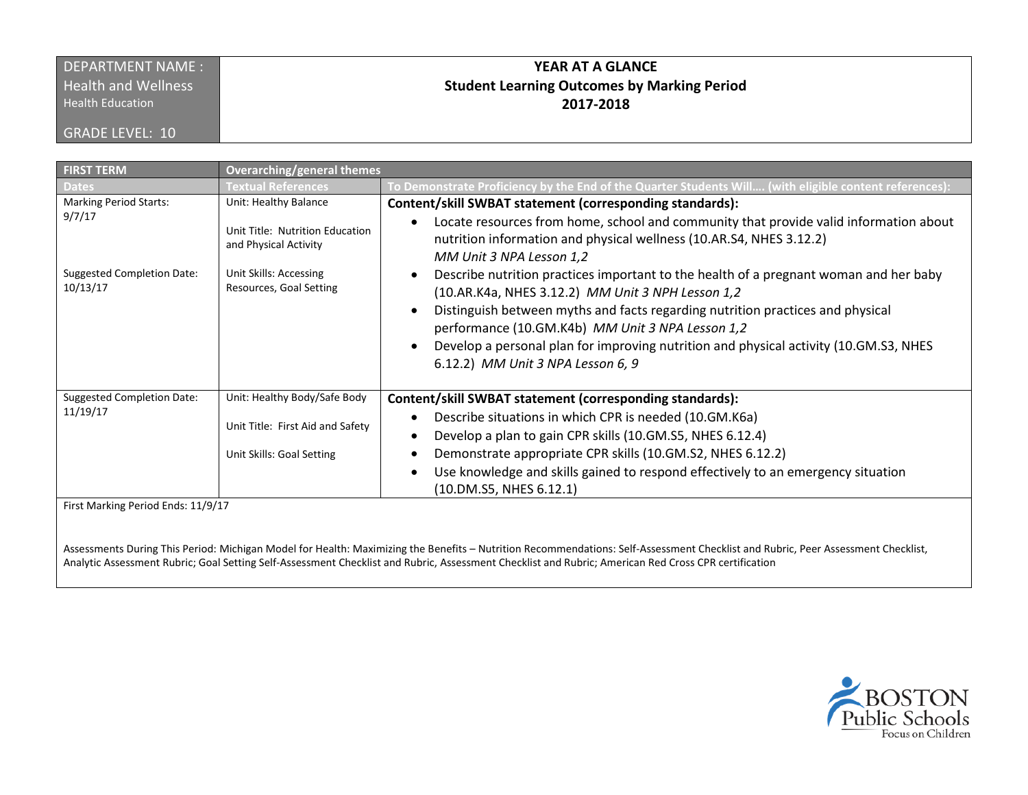## DEPARTMENT NAME :

**Health and Wellness** 

GRADE LEVEL: 10

Health Education

## **YEAR AT A GLANCE Student Learning Outcomes by Marking Period 2017-2018**

| <b>FIRST TERM</b>                             | <b>Overarching/general themes</b>                        |                                                                                                                                                                                          |
|-----------------------------------------------|----------------------------------------------------------|------------------------------------------------------------------------------------------------------------------------------------------------------------------------------------------|
| <b>Dates</b>                                  | <b>Textual References</b>                                | To Demonstrate Proficiency by the End of the Quarter Students Will (with eligible content references):                                                                                   |
| <b>Marking Period Starts:</b>                 | Unit: Healthy Balance                                    | Content/skill SWBAT statement (corresponding standards):                                                                                                                                 |
| 9/7/17                                        | Unit Title: Nutrition Education<br>and Physical Activity | Locate resources from home, school and community that provide valid information about<br>nutrition information and physical wellness (10.AR.S4, NHES 3.12.2)<br>MM Unit 3 NPA Lesson 1,2 |
| <b>Suggested Completion Date:</b><br>10/13/17 | Unit Skills: Accessing<br>Resources, Goal Setting        | Describe nutrition practices important to the health of a pregnant woman and her baby<br>(10.AR.K4a, NHES 3.12.2) MM Unit 3 NPH Lesson 1,2                                               |
|                                               |                                                          | Distinguish between myths and facts regarding nutrition practices and physical<br>performance (10.GM.K4b) MM Unit 3 NPA Lesson 1,2                                                       |
|                                               |                                                          | Develop a personal plan for improving nutrition and physical activity (10.GM.S3, NHES<br>6.12.2) MM Unit 3 NPA Lesson 6, 9                                                               |
| <b>Suggested Completion Date:</b>             | Unit: Healthy Body/Safe Body                             | Content/skill SWBAT statement (corresponding standards):                                                                                                                                 |
| 11/19/17                                      | Unit Title: First Aid and Safety                         | Describe situations in which CPR is needed (10.GM.K6a)<br>Develop a plan to gain CPR skills (10.GM.S5, NHES 6.12.4)                                                                      |
|                                               | Unit Skills: Goal Setting                                | Demonstrate appropriate CPR skills (10.GM.S2, NHES 6.12.2)                                                                                                                               |
|                                               |                                                          | Use knowledge and skills gained to respond effectively to an emergency situation<br>(10.DM.S5, NHES 6.12.1)                                                                              |
| First Marking Period Ends: 11/9/17            |                                                          |                                                                                                                                                                                          |

Assessments During This Period: Michigan Model for Health: Maximizing the Benefits – Nutrition Recommendations: Self-Assessment Checklist and Rubric, Peer Assessment Checklist, Analytic Assessment Rubric; Goal Setting Self-Assessment Checklist and Rubric, Assessment Checklist and Rubric; American Red Cross CPR certification

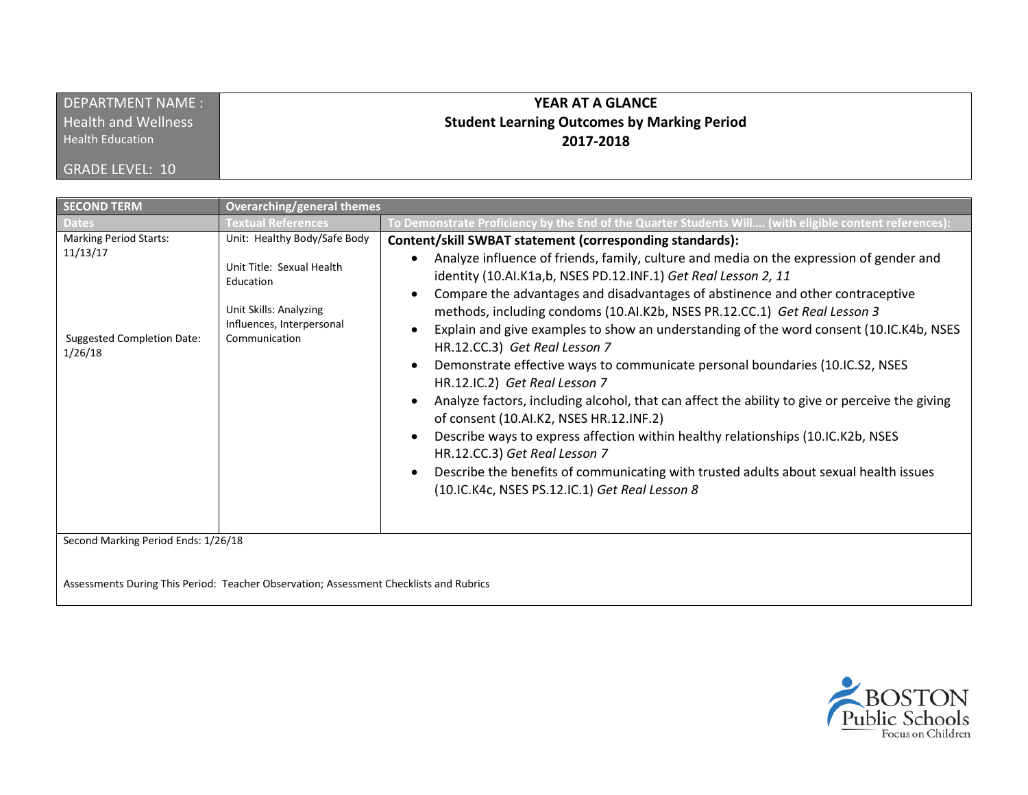| DEPARTMENT NAME:           | YEAR AT A GLANCE                                   |
|----------------------------|----------------------------------------------------|
| <b>Health and Wellness</b> | <b>Student Learning Outcomes by Marking Period</b> |
| <b>Health Education</b>    | 2017-2018                                          |
| <b>GRADE LEVEL: 10</b>     |                                                    |

| <b>SECOND TERM</b>                                                                 | <b>Overarching/general themes</b>                                                                                                              |                                                                                                                                                                                                                                                                                                                                                                                                                                                                                                                                                                                                                                                                                                                                                                                                                                                                                                                                                                                                                                                 |
|------------------------------------------------------------------------------------|------------------------------------------------------------------------------------------------------------------------------------------------|-------------------------------------------------------------------------------------------------------------------------------------------------------------------------------------------------------------------------------------------------------------------------------------------------------------------------------------------------------------------------------------------------------------------------------------------------------------------------------------------------------------------------------------------------------------------------------------------------------------------------------------------------------------------------------------------------------------------------------------------------------------------------------------------------------------------------------------------------------------------------------------------------------------------------------------------------------------------------------------------------------------------------------------------------|
|                                                                                    | <b>Textual References</b>                                                                                                                      | To Demonstrate Proficiency by the End of the Quarter Students Will (with eligible content references):                                                                                                                                                                                                                                                                                                                                                                                                                                                                                                                                                                                                                                                                                                                                                                                                                                                                                                                                          |
| <b>Marking Period Starts:</b><br>11/13/17<br>Suggested Completion Date:<br>1/26/18 | Unit: Healthy Body/Safe Body<br>Unit Title: Sexual Health<br>Education<br>Unit Skills: Analyzing<br>Influences, Interpersonal<br>Communication | Content/skill SWBAT statement (corresponding standards):<br>Analyze influence of friends, family, culture and media on the expression of gender and<br>identity (10.AI.K1a,b, NSES PD.12.INF.1) Get Real Lesson 2, 11<br>Compare the advantages and disadvantages of abstinence and other contraceptive<br>methods, including condoms (10.AI.K2b, NSES PR.12.CC.1) Get Real Lesson 3<br>Explain and give examples to show an understanding of the word consent (10.IC.K4b, NSES<br>HR.12.CC.3) Get Real Lesson 7<br>Demonstrate effective ways to communicate personal boundaries (10.IC.S2, NSES<br>HR.12.IC.2) Get Real Lesson 7<br>Analyze factors, including alcohol, that can affect the ability to give or perceive the giving<br>of consent (10.AI.K2, NSES HR.12.INF.2)<br>Describe ways to express affection within healthy relationships (10.IC.K2b, NSES<br>HR.12.CC.3) Get Real Lesson 7<br>Describe the benefits of communicating with trusted adults about sexual health issues<br>(10.IC.K4c, NSES PS.12.IC.1) Get Real Lesson 8 |
| Second Marking Period Ends: 1/26/18                                                |                                                                                                                                                |                                                                                                                                                                                                                                                                                                                                                                                                                                                                                                                                                                                                                                                                                                                                                                                                                                                                                                                                                                                                                                                 |
|                                                                                    | Assessments During This Period: Teacher Observation; Assessment Checklists and Rubrics                                                         |                                                                                                                                                                                                                                                                                                                                                                                                                                                                                                                                                                                                                                                                                                                                                                                                                                                                                                                                                                                                                                                 |

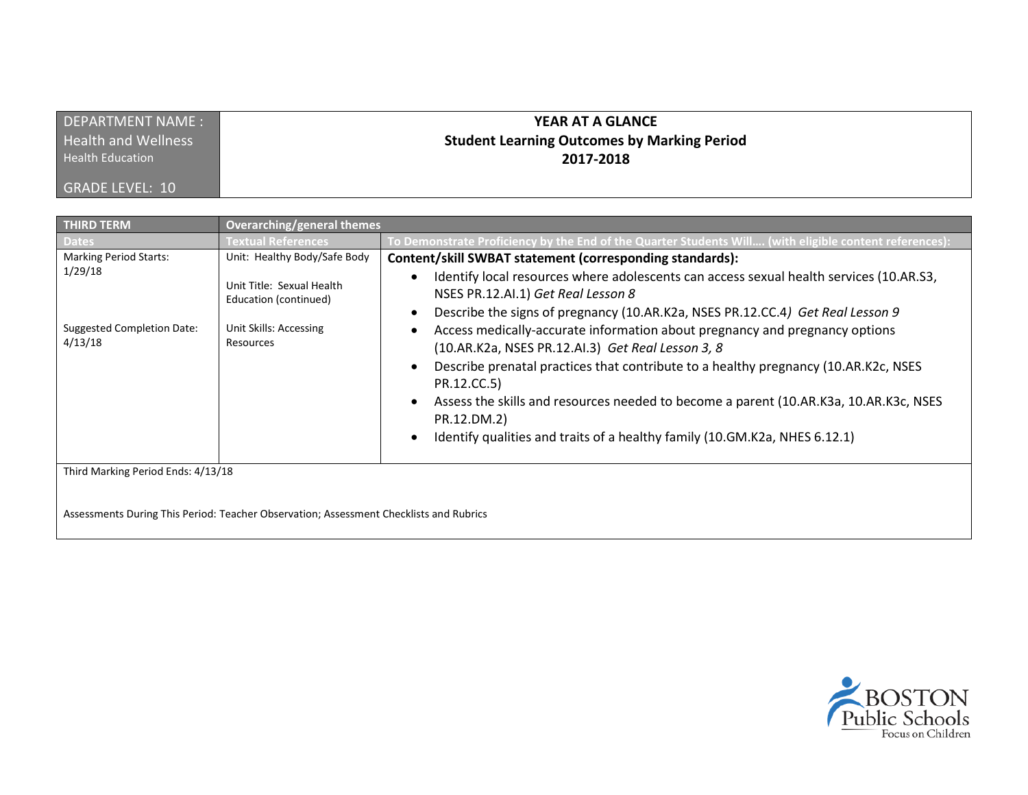| DEPARTMENT NAME:           | <b>YEAR AT A GLANCE</b>                            |
|----------------------------|----------------------------------------------------|
| <b>Health and Wellness</b> | <b>Student Learning Outcomes by Marking Period</b> |
| <b>Health Education</b>    | 2017-2018                                          |
| GRADE LEVEL: 10            |                                                    |

| <b>THIRD TERM</b>                                                                        | <b>Overarching/general themes</b>                                                                                         |                                                                                                                                                                                                                                                                                                                                                                                                                                                                                                                                                                                                                                                                                                             |
|------------------------------------------------------------------------------------------|---------------------------------------------------------------------------------------------------------------------------|-------------------------------------------------------------------------------------------------------------------------------------------------------------------------------------------------------------------------------------------------------------------------------------------------------------------------------------------------------------------------------------------------------------------------------------------------------------------------------------------------------------------------------------------------------------------------------------------------------------------------------------------------------------------------------------------------------------|
| <b>Dates</b>                                                                             | <b>Fextual References</b>                                                                                                 | To Demonstrate Proficiency by the End of the Quarter Students Will (with eligible content references):                                                                                                                                                                                                                                                                                                                                                                                                                                                                                                                                                                                                      |
| <b>Marking Period Starts:</b><br>1/29/18<br><b>Suggested Completion Date:</b><br>4/13/18 | Unit: Healthy Body/Safe Body<br>Unit Title: Sexual Health<br>Education (continued)<br>Unit Skills: Accessing<br>Resources | Content/skill SWBAT statement (corresponding standards):<br>Identify local resources where adolescents can access sexual health services (10.AR.S3,<br>NSES PR.12.AI.1) Get Real Lesson 8<br>Describe the signs of pregnancy (10.AR.K2a, NSES PR.12.CC.4) Get Real Lesson 9<br>Access medically-accurate information about pregnancy and pregnancy options<br>(10.AR.K2a, NSES PR.12.AI.3) Get Real Lesson 3, 8<br>Describe prenatal practices that contribute to a healthy pregnancy (10.AR.K2c, NSES<br>PR.12.CC.5)<br>Assess the skills and resources needed to become a parent (10.AR.K3a, 10.AR.K3c, NSES<br>PR.12.DM.2)<br>Identify qualities and traits of a healthy family (10.GM.K2a, NHES 6.12.1) |
| Third Marking Period Ends: 4/13/18                                                       | Assessments During This Period: Teacher Observation; Assessment Checklists and Rubrics                                    |                                                                                                                                                                                                                                                                                                                                                                                                                                                                                                                                                                                                                                                                                                             |